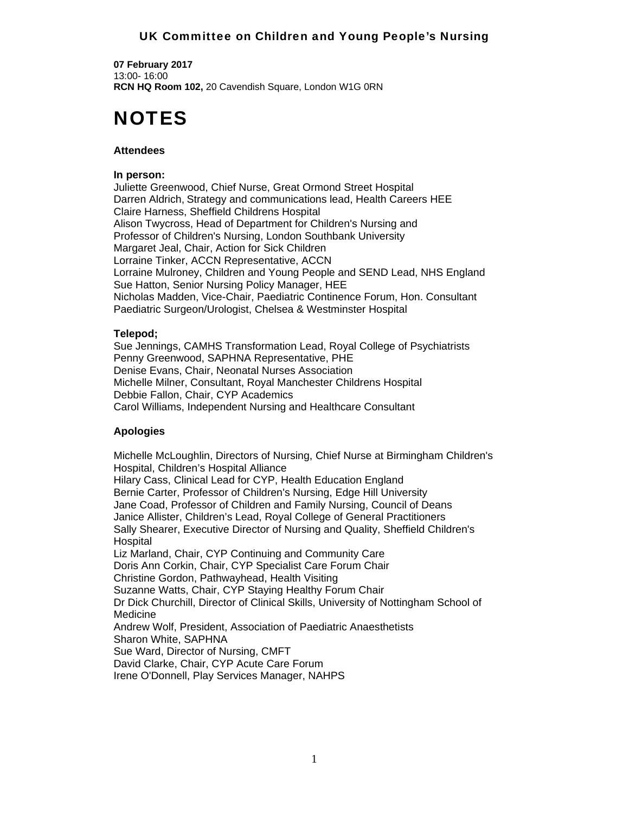## UK Committee on Children and Young People's Nursing

**07 February 2017**  13:00- 16:00 **RCN HQ Room 102,** 20 Cavendish Square, London W1G 0RN

# NOTES

#### **Attendees**

#### **In person:**

Juliette Greenwood, Chief Nurse, Great Ormond Street Hospital Darren Aldrich, Strategy and communications lead, Health Careers HEE Claire Harness, Sheffield Childrens Hospital Alison Twycross, Head of Department for Children's Nursing and Professor of Children's Nursing, London Southbank University Margaret Jeal, Chair, Action for Sick Children Lorraine Tinker, ACCN Representative, ACCN Lorraine Mulroney, Children and Young People and SEND Lead, NHS England Sue Hatton, Senior Nursing Policy Manager, HEE Nicholas Madden, Vice-Chair, Paediatric Continence Forum, Hon. Consultant Paediatric Surgeon/Urologist, Chelsea & Westminster Hospital

#### **Telepod;**

Sue Jennings, CAMHS Transformation Lead, Royal College of Psychiatrists Penny Greenwood, SAPHNA Representative, PHE Denise Evans, Chair, Neonatal Nurses Association Michelle Milner, Consultant, Royal Manchester Childrens Hospital Debbie Fallon, Chair, CYP Academics Carol Williams, Independent Nursing and Healthcare Consultant

#### **Apologies**

Michelle McLoughlin, Directors of Nursing, Chief Nurse at Birmingham Children's Hospital, Children's Hospital Alliance Hilary Cass, Clinical Lead for CYP, Health Education England Bernie Carter, Professor of Children's Nursing, Edge Hill University Jane Coad, Professor of Children and Family Nursing, Council of Deans Janice Allister, Children's Lead, Royal College of General Practitioners Sally Shearer, Executive Director of Nursing and Quality, Sheffield Children's **Hospital** Liz Marland, Chair, CYP Continuing and Community Care Doris Ann Corkin, Chair, CYP Specialist Care Forum Chair Christine Gordon, Pathwayhead, Health Visiting Suzanne Watts, Chair, CYP Staying Healthy Forum Chair Dr Dick Churchill, Director of Clinical Skills, University of Nottingham School of Medicine Andrew Wolf, President, Association of Paediatric Anaesthetists Sharon White, SAPHNA Sue Ward, Director of Nursing, CMFT David Clarke, Chair, CYP Acute Care Forum Irene O'Donnell, Play Services Manager, NAHPS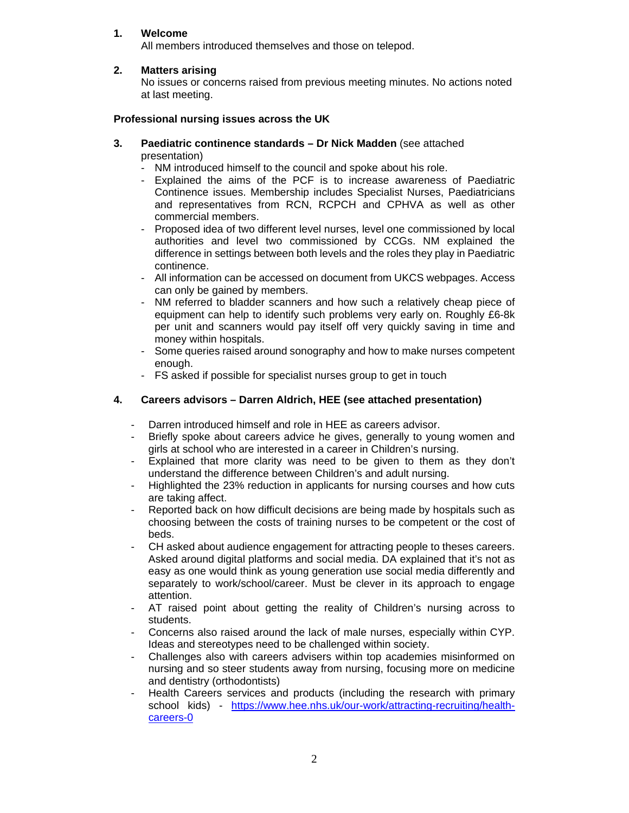## **1. Welcome**

All members introduced themselves and those on telepod.

## **2. Matters arising**

No issues or concerns raised from previous meeting minutes. No actions noted at last meeting.

#### **Professional nursing issues across the UK**

- **3. Paediatric continence standards Dr Nick Madden** (see attached presentation)
	- NM introduced himself to the council and spoke about his role.
	- Explained the aims of the PCF is to increase awareness of Paediatric Continence issues. Membership includes Specialist Nurses, Paediatricians and representatives from RCN, RCPCH and CPHVA as well as other commercial members.
	- Proposed idea of two different level nurses, level one commissioned by local authorities and level two commissioned by CCGs. NM explained the difference in settings between both levels and the roles they play in Paediatric continence.
	- All information can be accessed on document from UKCS webpages. Access can only be gained by members.
	- NM referred to bladder scanners and how such a relatively cheap piece of equipment can help to identify such problems very early on. Roughly £6-8k per unit and scanners would pay itself off very quickly saving in time and money within hospitals.
	- Some queries raised around sonography and how to make nurses competent enough.
	- FS asked if possible for specialist nurses group to get in touch

#### **4. Careers advisors – Darren Aldrich, HEE (see attached presentation)**

- Darren introduced himself and role in HEE as careers advisor.
- Briefly spoke about careers advice he gives, generally to young women and girls at school who are interested in a career in Children's nursing.
- Explained that more clarity was need to be given to them as they don't understand the difference between Children's and adult nursing.
- Highlighted the 23% reduction in applicants for nursing courses and how cuts are taking affect.
- Reported back on how difficult decisions are being made by hospitals such as choosing between the costs of training nurses to be competent or the cost of beds.
- CH asked about audience engagement for attracting people to theses careers. Asked around digital platforms and social media. DA explained that it's not as easy as one would think as young generation use social media differently and separately to work/school/career. Must be clever in its approach to engage attention.
- AT raised point about getting the reality of Children's nursing across to students.
- Concerns also raised around the lack of male nurses, especially within CYP. Ideas and stereotypes need to be challenged within society.
- Challenges also with careers advisers within top academies misinformed on nursing and so steer students away from nursing, focusing more on medicine and dentistry (orthodontists)
- Health Careers services and products (including the research with primary school kids) - https://www.hee.nhs.uk/our-work/attracting-recruiting/healthcareers-0